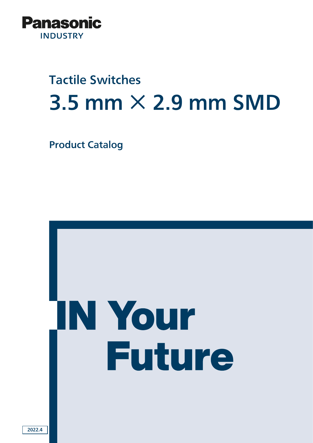

# Tactile Switches  $3.5$  mm  $\times$  2.9 mm SMD

Product Catalog

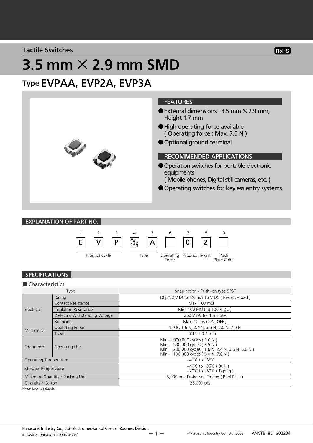Tactile Switches

# $3.5$  mm  $\times$  2.9 mm SMD

## Type EVPAA, EVP2A, EVP3A



EXPLANATION OF PART NO.



### SPECIFICATIONS

#### ■ Characteristics

| Type                            |                                 | Snap action / Push-on type SPST                                                                                                                                 |  |  |  |  |
|---------------------------------|---------------------------------|-----------------------------------------------------------------------------------------------------------------------------------------------------------------|--|--|--|--|
| Electrical                      | Rating                          | 10 µA 2 V DC to 20 mA 15 V DC (Resistive load)                                                                                                                  |  |  |  |  |
|                                 | <b>Contact Resistance</b>       | Max. 100 m $\Omega$                                                                                                                                             |  |  |  |  |
|                                 | <b>Insulation Resistance</b>    | Min. 100 M $\Omega$ ( at 100 V DC )                                                                                                                             |  |  |  |  |
|                                 | Dielectric Withstanding Voltage | 250 V AC for 1 minute                                                                                                                                           |  |  |  |  |
|                                 | <b>Bouncing</b>                 | Max. 10 ms (ON, OFF)                                                                                                                                            |  |  |  |  |
| Mechanical                      | Operating Force                 | 1.0 N, 1.6 N, 2.4 N, 3.5 N, 5.0 N, 7.0 N                                                                                                                        |  |  |  |  |
|                                 | Travel                          | $0.15 \pm 0.1$ mm                                                                                                                                               |  |  |  |  |
| Endurance                       | Operating Life                  | Min. 1,000,000 cycles (1.0 N)<br>500,000 cycles (3.5 N)<br>Min.<br>200,000 cycles (1.6 N, 2.4 N, 3.5 N, 5.0 N)<br>Min.<br>100,000 cycles (5.0 N, 7.0 N)<br>Min. |  |  |  |  |
| <b>Operating Temperature</b>    |                                 | $-40^{\circ}$ C to +85 $^{\circ}$ C                                                                                                                             |  |  |  |  |
| Storage Temperature             |                                 | $-40^{\circ}$ C to +85 $^{\circ}$ C (Bulk)<br>$-20^{\circ}$ C to +60 $\circ$ (Taping)                                                                           |  |  |  |  |
| Minimum Quantity / Packing Unit |                                 | 5,000 pcs. Embossed Taping (Reel Pack)                                                                                                                          |  |  |  |  |
| Quantity / Carton               |                                 | 25,000 pcs.                                                                                                                                                     |  |  |  |  |

Note: Non washable

ー 1 ー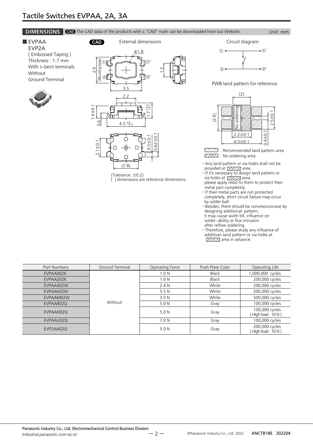#### **DIMENSIONS** CAD The CAD data of the products with a "CAD" mark can be downloaded from our Website. Unit: mm

■ EVPAA EVP2A ( Embossed Taping ) Thickness : 1.7 mm With J-bent terminals **Without** Ground Terminal





) dimensions are reference dimensions.

CAD External dimensions **CAD** External dimensions ①' ② <del>。 </del> ②  $\circ$ 

PWB land pattern for reference



 $ZZZZ$  : Recommended land pattern area : No soldering area

- ・ Any land pattern or via holes shall not be provided at  $\boxtimes \boxtimes$  area.
- ・ If it's necessary to design land pattern or via holes at  $\boxtimes \boxtimes$  area,
- please apply resist to them to protect their metal part completely.
- ・ If their metal parts are not protected completely, short circuit failure may occur by solder ball.
- ・ Besides, there should be convexoconcave by designing additional pattern, it may cause swith tilt, influence on solder-ability or flux intrusion after reflow soldering.
- ・ Therefore, please study any influence of additioan land pattern or via holes at<br>  $\boxtimes$

| Part Numbers | <b>Ground Terminal</b> | Operating Force  | Push Plate Color | Operating Life                     |  |
|--------------|------------------------|------------------|------------------|------------------------------------|--|
| EVPAA002K    |                        | .0 N             | <b>Black</b>     | 1,000,000 cycles                   |  |
| EVPAA202K    |                        | 1.6 <sub>N</sub> | <b>Black</b>     | 200,000 cycles                     |  |
| EVPAA402W    |                        | 2.4N             | White            | 200,000 cycles                     |  |
| EVPAA602W    |                        | 3.5N             | White            | 200,000 cycles                     |  |
| EVPAAM02W    |                        | 3.5N             | White            | 500,000 cycles                     |  |
| EVPAA802Q    | Without                | 5.0 N            | Gray             | 100,000 cycles                     |  |
| EVPAAN02Q    |                        | 5.0 N            | Gray             | 100,000 cycles<br>High load: 10 N) |  |
| EVPAAU02Q    |                        | 7.0 N            | Gray             | 100,000 cycles                     |  |
| EVP2AA02Q    |                        | 5.0 N            | Gray             | 200,000 cycles<br>High load: 10 N) |  |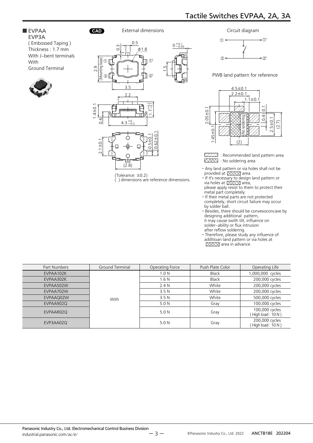#### ■ EVPAA EVP3A ( Embossed Taping ) Thickness : 1.7 mm

With J-bent terminals With Ground Terminal





(Tolerance:  $\pm$ 0.2)<br>() dimensions are reference dimensions.



PWB land pattern for reference



 $ZZZZ$ : Recommended land pattern area XXXX : No soldering area

- ・ Any land pattern or via holes shall not be provided at  $\boxtimes \boxtimes$  area.
- ・ If it's necessary to design land pattern or via holes at  $\overline{\text{XXX}}$  area, please apply resist to them to protect their
- metal part completely.
- ・ If their metal parts are not protected completely, short circuit failure may occur by solder ball.
- ・ Besides, there should be convexoconcave by designing additional pattern,
- it may cause swith tilt, influence on
- solder-ability or flux intrusion after reflow soldering.
- 
- ・ Therefore, please study any influence of additioan land pattern or via holes at  $\boxtimes$  $\times$  area in advance.

| Part Numbers | Ground Terminal | Operating Force  | Push Plate Color | Operating Life                      |  |
|--------------|-----------------|------------------|------------------|-------------------------------------|--|
| EVPAA102K    |                 | 1.0 <sub>N</sub> | <b>Black</b>     | 1,000,000 cycles                    |  |
| EVPAA302K    |                 | 1.6 <sub>N</sub> | <b>Black</b>     | 200,000 cycles                      |  |
| EVPAA502W    |                 | 2.4N             | White            | 200,000 cycles                      |  |
| EVPAA702W    |                 | 3.5N             | White            | 200,000 cycles                      |  |
| EVPAAQ02W    | <b>With</b>     | 3.5N             | White            | 500,000 cycles                      |  |
| EVPAA902Q    |                 | 5.0 N            | Gray             | 100,000 cycles                      |  |
| EVPAAR02Q    |                 | 5.0 N            | Gray             | 100,000 cycles<br>(High load: 10 N) |  |
| EVP3AA02Q    |                 | 5.0 N            | Gray             | 200,000 cycles<br>(High load: 10 N) |  |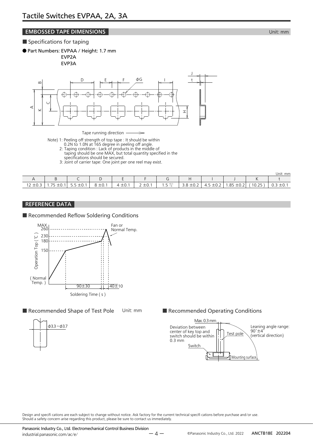### **EMBOSSED TAPE DIMENSIONS EMBOSSED TAPE DIMENSIONS**

#### ■ Specifications for taping

● Part Numbers: EVPAA / Height: 1.7 mm

EVP2A EVP3A



Note) 1: Peeling off strength of top tape : It should be within

- 0.2N to 1.0N at 165 degree in peeling off angle.
- 2: Taping condition : Lack of products in the middle of taping should be one MAX, but total quantity specified in the specifications should be secured.
- 3: Joint of carrier tape: One joint per one reel may exist.

|                                         |                                                   |                       |                       |                                      |                                    |                                |             |                                  |                                                                         |       | Unit: mm                                |
|-----------------------------------------|---------------------------------------------------|-----------------------|-----------------------|--------------------------------------|------------------------------------|--------------------------------|-------------|----------------------------------|-------------------------------------------------------------------------|-------|-----------------------------------------|
|                                         |                                                   |                       |                       |                                      |                                    |                                |             |                                  |                                                                         |       |                                         |
| $\sim$ $\sim$<br>$1^{\circ}$<br>د.∪⊥ ∠ا | フロ<br>$\sim$<br>∸∪. ⊧<br>$\overline{\phantom{a}}$ | $\sim$<br>$3.5 - 0.1$ | $\sim$<br>—<br>$   -$ | $\cdot$ $\sim$ $\cdot$<br>土0. .<br>4 | $\degree$ + $\degree$<br>$2 - 0.1$ | $1 E + 0.$<br>$-\Omega$<br>ر . | 3.8<br>±0.2 | $\sim$<br>$\Delta$<br>$-0.4$<br> | R <sub>5</sub><br>$\overline{\phantom{0}}$<br>$\sim$<br>$-0.2$<br>. . ٽ | 10.25 | $\overline{\phantom{0}}$<br>±0.1<br>◡.◡ |

### REFERENCE DATA

#### ■ Recommended Reflow Soldering Conditions



■ Recommended Shape of Test Pole Unit: mm



■ Recommended Operating Conditions



Design and specifi cations are each subject to change without notice. Ask factory for the current technical specifi cations before purchase and/or use. Should a safety concern arise regarding this product, please be sure to contact us immediately.

Panasonic Industry Co., Ltd. Electromechanical Control Business Division industrial.panasonic.com/ac/e/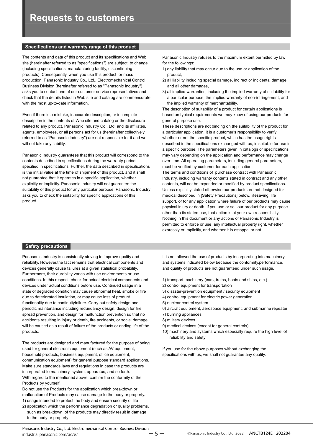#### **Specifications and warranty range of this product**

The contents and data of this product and its specifications and Web site (hereinafter referred to as "specifications") are subject to change (including specifications, manufacturing facility, discontinuing products). Consequently, when you use this product for mass production, Panasonic Industry Co., Ltd., Electromechanical Control Business Division (hereinafter referred to as "Panasonic Industry") asks you to contact one of our customer service representatives and check that the details listed in Web site and catalog are commensurate with the most up-to-date information.

Even if there is a mistake, inaccurate description, or incomplete description in the contents of Web site and catalog or the disclosure related to any product, Panasonic Industry Co., Ltd. and its affiliates, agents, employees, or all persons act for us (hereinafter collectively referred to as "Panasonic Industry") are not responsible for it and we will not take any liability.

Panasonic Industry guarantees that this product will correspond to the contents described in specifications during the warranty period specified in specifications. Further, the data described in specifications is the initial value at the time of shipment of this product, and it shall not guarantee that it operates in a specific application, whether explicitly or implicitly. Panasonic Industry will not guarantee the suitability of this product for any particular purpose. Panasonic Industry asks you to check the suitability for specific applications of this product.

Panasonic Industry refuses to the maximum extent permitted by law for the followings:

- 1) any liability that may occur due to the use or application of the product,
- 2) all liability including special damage, indirect or incidental damage, and all other damages,
- 3) all implied warranties, including the implied warranty of suitability for a particular purpose, the implied warranty of non-infringement, and the implied warranty of merchantability.

The description of suitability of a product for certain applications is based on typical requirements we may know of using our products for general purpose use.

These descriptions are not binding on the suitability of the product for a particular application. It is a customer's responsibility to verify whether or not the specific product, which has the usage rights described in the specifications exchanged with us, is suitable for use in a specific purpose. The parameters given in catalogs or specifications may vary depending on the application and performance may change over time. All operating parameters, including general parameters, must be verified by customer for each application.

The terms and conditions of purchase contract with Panasonic Industry, including warranty contents stated in contract and any other contents, will not be expanded or modified by product specifications. Unless explicitly stated otherwise,our products are not designed for medical described in [Safety Precautions] below, lifesaving, life support, or for any application where failure of our products may cause physical injury or death. If you use or sell our product for any purpose other than its stated use, that action is at your own responsibility. Nothing in this document or any actions of Panasonic Industry is permitted to enforce or use any intellectual property right, whether expressly or implicitly, and whether it is estoppel or not.

#### **Safety precautions**

Panasonic Industry is consistently striving to improve quality and reliability. However,the fact remains that electrical components and devices generally cause failures at a given statistical probability. Furthermore, their durability varies with use environments or use conditions. In this respect, check for actual electrical components and devices under actual conditions before use. Continued usage in a state of degraded condition may cause abnormal heat, smoke or fire due to deteriorated insulation, or may cause loss of product functionality due to continuityfailure. Carry out safety design and periodic maintenance including redundancy design, design for fire spread prevention, and design for malfunction prevention so that no accidents resulting in injury or death, fire accidents, or social damage will be caused as a result of failure of the products or ending life of the products.

The products are designed and manufactured for the purpose of being used for general electronic equipment (such as AV equipment, household products, business equipment, office equipment, communication equipment) for general purpose standard applications. Make sure standards,laws and regulations in case the products are incorporated to machinery, system, apparatus, and so forth. With regard to the mentioned above, confirm the conformity of the Products by yourself.

Do not use the Products for the application which breakdown or malfunction of Products may cause damage to the body or property. 1) usage intended to protect the body and ensure security of life

2) application which the performance degradation or quality problems, such as breakdown, of the products may directly result in damage to the body or property

It is not allowed the use of products by incorporating into machinery and systems indicated below because the conformity,performance, and quality of products are not guaranteed under such usage.

- 1) transport machinery (cars, trains, boats and ships, etc.)
- 2) control equipment for transportation
- 3) disaster-prevention equipment / security equipment
- 4) control equipment for electric power generation
- 5) nuclear control system
- 6) aircraft equipment, aerospace equipment, and submarine repeater
- 7) burning appliances
- 8) military devices
- 9) medical devices (except for general controls)
- 10) machinery and systems which especially require the high level of reliability and safety

If you use for the above purposes without exchanging the specifications with us, we shall not guarantee any quality.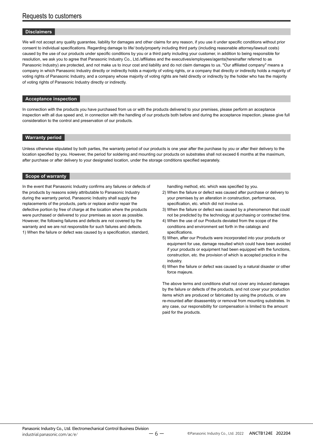#### **Disclaimers**

We will not accept any quality guarantee, liability for damages and other claims for any reason, if you use it under specific conditions without prior consent to individual specifications. Regarding damage to life/ body/property including third party (including reasonable attorney/lawsuit costs) caused by the use of our products under specific conditions by you or a third party including your customer, in addition to being responsible for resolution, we ask you to agree that Panasonic Industry Co., Ltd./affiliates and the executives/employees/agents(hereinafter referred to as Panasonic Industry) are protected, and not make us to incur cost and liability and do not claim damages to us. "Our affiliated company" means a company in which Panasonic Industry directly or indirectly holds a majority of voting rights, or a company that directly or indirectly holds a majority of voting rights of Panasonic Industry, and a company whose majority of voting rights are held directly or indirectly by the holder who has the majority of voting rights of Panasonic Industry directly or indirectly.

#### **Acceptance inspection**

In connection with the products you have purchased from us or with the products delivered to your premises, please perform an acceptance inspection with all due speed and, in connection with the handling of our products both before and during the acceptance inspection, please give full consideration to the control and preservation of our products.

#### **Warranty period**

Unless otherwise stipulated by both parties, the warranty period of our products is one year after the purchase by you or after their delivery to the location specified by you. However, the period for soldering and mounting our products on substrates shall not exceed 6 months at the maximum, after purchase or after delivery to your designated location, under the storage conditions specified separately.

#### **Scope of warranty**

In the event that Panasonic Industry confirms any failures or defects of the products by reasons solely attributable to Panasonic Industry during the warranty period, Panasonic Industry shall supply the replacements of the products, parts or replace and/or repair the defective portion by free of charge at the location where the products were purchased or delivered to your premises as soon as possible. However, the following failures and defects are not covered by the warranty and we are not responsible for such failures and defects. 1) When the failure or defect was caused by a specification, standard,

handling method, etc. which was specified by you.

- 2) When the failure or defect was caused after purchase or delivery to your premises by an alteration in construction, performance, specification, etc. which did not involve us.
- 3) When the failure or defect was caused by a phenomenon that could not be predicted by the technology at purchasing or contracted time.
- 4) When the use of our Products deviated from the scope of the conditions and environment set forth in the catalogs and specifications.
- 5) When, after our Products were incorporated into your products or equipment for use, damage resulted which could have been avoided if your products or equipment had been equipped with the functions, construction, etc. the provision of which is accepted practice in the industry.
- 6) When the failure or defect was caused by a natural disaster or other force majeure.

The above terms and conditions shall not cover any induced damages by the failure or defects of the products, and not cover your production items which are produced or fabricated by using the products, or are re-mounted after disassembly or removal from mounting substrates. In any case, our responsibility for compensation is limited to the amount paid for the products.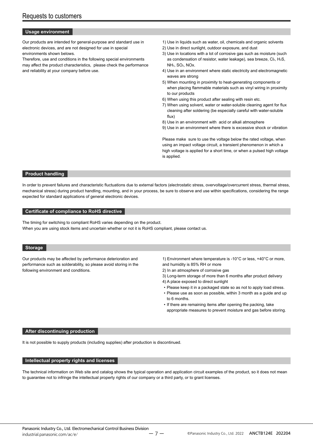#### **Usage environment**

Our products are intended for general-purpose and standard use in electronic devices, and are not designed for use in special environments shown belows.

Therefore, use and conditions in the following special environments may affect the product characteristics, please check the performance and reliability at your company before use.

- 1) Use in liquids such as water, oil, chemicals and organic solvents
- 2) Use in direct sunlight, outdoor exposure, and dust
- 3) Use in locations with a lot of corrosive gas such as moisture (such as condensation of resistor, water leakage), sea breeze, Cl2, H2S, NH3, SO2, NOx.
- 4) Use in an environment where static electricity and electromagnetic waves are strong
- 5) When mounting in proximity to heat-generating components or when placing flammable materials such as vinyl wiring in proximity to our products
- 6) When using this product after sealing with resin etc.
- 7) When using solvent, water or water-soluble cleaning agent for flux cleaning after soldering (be especially careful with water-soluble flux)
- 8) Use in an environment with acid or alkali atmosphere
- 9) Use in an environment where there is excessive shock or vibration

Please make sure to use the voltage below the rated voltage, when using an impact voltage circuit, a transient phenomenon in which a high voltage is applied for a short time, or when a pulsed high voltage is applied.

#### **Product handling**

In order to prevent failures and characteristic fluctuations due to external factors (electrostatic stress, overvoltage/overcurrent stress, thermal stress, mechanical stress) during product handling, mounting, and in your process, be sure to observe and use within specifications, considering the range expected for standard applications of general electronic devices.

#### **Certificate of compliance to RoHS directive**

The timing for switching to compliant RoHS varies depending on the product. When you are using stock items and uncertain whether or not it is RoHS compliant, please contact us.

#### **Storage**

Our products may be affected by performance deterioration and performance such as solderability, so please avoid storing in the following environment and conditions.

1) Environment where temperature is -10°C or less, +40°C or more, and humidity is 85% RH or more

- 2) In an atmosphere of corrosive gas
- 3) Long-term storage of more than 6 months after product delivery
- 4) A place exposed to direct sunlight
- Please keep it in a packaged state so as not to apply load stress.
- Please use as soon as possible, within 3 month as a guide and up to 6 months.
- If there are remaining items after opening the packing, take appropriate measures to prevent moisture and gas before storing.

#### **After discontinuing production**

It is not possible to supply products (including supplies) after production is discontinued.

#### **Intellectual property rights and licenses**

The technical information on Web site and catalog shows the typical operation and application circuit examples of the product, so it does not mean to guarantee not to infringe the intellectual property rights of our company or a third party, or to grant licenses.

ー 7 ー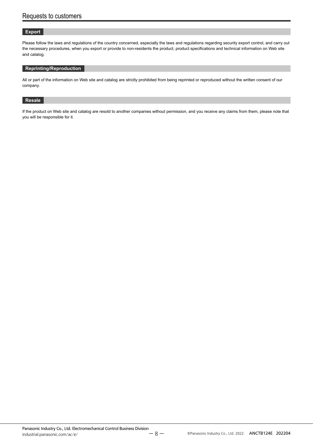#### **Export**

Please follow the laws and regulations of the country concerned, especially the laws and regulations regarding security export control, and carry out the necessary procedures, when you export or provide to non-residents the product, product specifications and technical information on Web site and catalog.

#### **Reprinting/Reproduction**

All or part of the information on Web site and catalog are strictly prohibited from being reprinted or reproduced without the written consent of our company.

#### **Resale**

If the product on Web site and catalog are resold to another companies without permission, and you receive any claims from them, please note that you will be responsible for it.